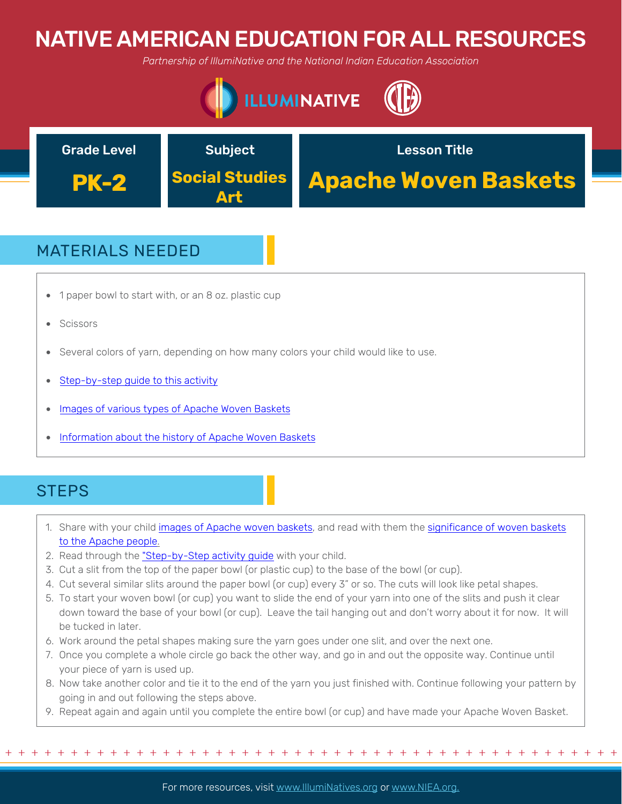## NATIVE AMERICAN EDUCATION FOR ALL RESOURCES

*Partnership of IllumiNative and the National Indian Education Association*





## MATERIALS NEEDED

- 1 paper bowl to start with, or an 8 oz. plastic cup
- **Scissors**
- Several colors of yarn, depending on how many colors your child would like to use.
- Step-by-step quide to this activity
- Images of various types of Apache Woven Baskets
- Information about the history of Apache Woven Baskets

#### **STEPS**

- 1. Share with your child images of Apache woven baskets, and read with them the significance of woven baskets to the Apache people.
- 2. Read through the "Step-by-Step activity guide with your child.
- 3. Cut a slit from the top of the paper bowl (or plastic cup) to the base of the bowl (or cup).
- 4. Cut several similar slits around the paper bowl (or cup) every 3" or so. The cuts will look like petal shapes.
- 5. To start your woven bowl (or cup) you want to slide the end of your yarn into one of the slits and push it clear down toward the base of your bowl (or cup). Leave the tail hanging out and don't worry about it for now. It will be tucked in later.
- 6. Work around the petal shapes making sure the yarn goes under one slit, and over the next one.
- 7. Once you complete a whole circle go back the other way, and go in and out the opposite way. Continue until your piece of yarn is used up.
- 8. Now take another color and tie it to the end of the yarn you just finished with. Continue following your pattern by going in and out following the steps above.
- 9. Repeat again and again until you complete the entire bowl (or cup) and have made your Apache Woven Basket.

For more resources, visit www.lllumiNatives.org or www.NIEA.org.

+ + + + + + + + + + + + + + + + + + + + + + + + + + + + + + + + + + + + + + + + + + + + + + + +